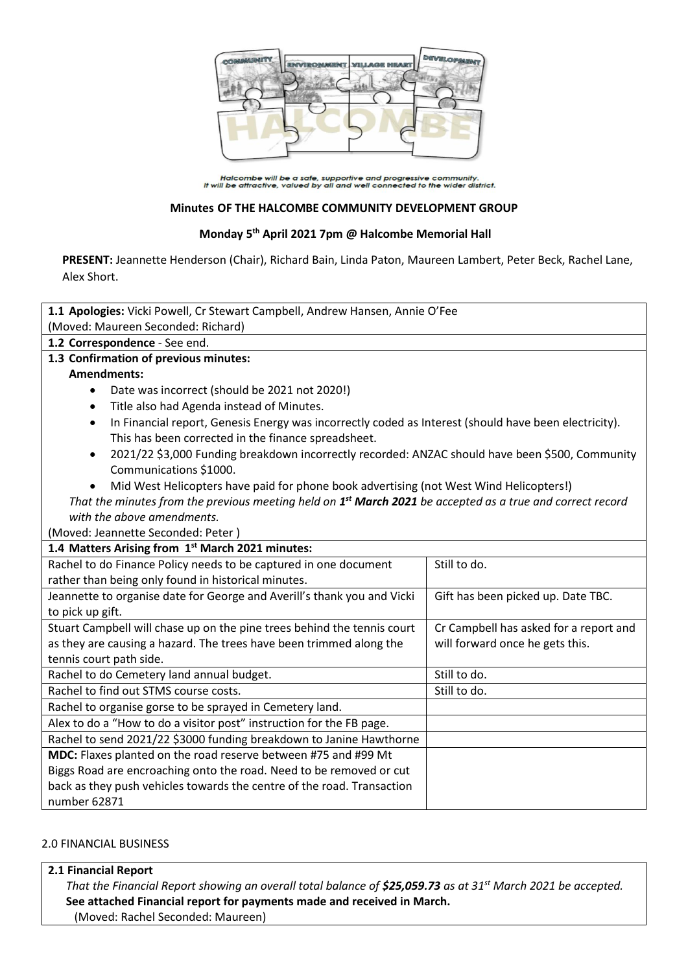

Halcombe will be a safe, supportive and progressive community.<br>It will be attractive, valued by all and well connected to the wider district.

#### **Minutes OF THE HALCOMBE COMMUNITY DEVELOPMENT GROUP**

#### **Monday 5 th April 2021 7pm @ Halcombe Memorial Hall**

**PRESENT:** Jeannette Henderson (Chair), Richard Bain, Linda Paton, Maureen Lambert, Peter Beck, Rachel Lane, Alex Short.

| 1.1 Apologies: Vicki Powell, Cr Stewart Campbell, Andrew Hansen, Annie O'Fee                                           |                                        |  |
|------------------------------------------------------------------------------------------------------------------------|----------------------------------------|--|
| (Moved: Maureen Seconded: Richard)                                                                                     |                                        |  |
| 1.2 Correspondence - See end.                                                                                          |                                        |  |
| 1.3 Confirmation of previous minutes:                                                                                  |                                        |  |
| <b>Amendments:</b>                                                                                                     |                                        |  |
| Date was incorrect (should be 2021 not 2020!)<br>$\bullet$                                                             |                                        |  |
| Title also had Agenda instead of Minutes.<br>$\bullet$                                                                 |                                        |  |
| In Financial report, Genesis Energy was incorrectly coded as Interest (should have been electricity).<br>$\bullet$     |                                        |  |
| This has been corrected in the finance spreadsheet.                                                                    |                                        |  |
| 2021/22 \$3,000 Funding breakdown incorrectly recorded: ANZAC should have been \$500, Community<br>$\bullet$           |                                        |  |
| Communications \$1000.                                                                                                 |                                        |  |
| Mid West Helicopters have paid for phone book advertising (not West Wind Helicopters!)                                 |                                        |  |
| That the minutes from the previous meeting held on 1 <sup>st</sup> March 2021 be accepted as a true and correct record |                                        |  |
| with the above amendments.                                                                                             |                                        |  |
| (Moved: Jeannette Seconded: Peter)                                                                                     |                                        |  |
| 1.4 Matters Arising from 1st March 2021 minutes:                                                                       |                                        |  |
| Rachel to do Finance Policy needs to be captured in one document                                                       | Still to do.                           |  |
| rather than being only found in historical minutes.                                                                    |                                        |  |
| Jeannette to organise date for George and Averill's thank you and Vicki                                                | Gift has been picked up. Date TBC.     |  |
| to pick up gift.                                                                                                       |                                        |  |
| Stuart Campbell will chase up on the pine trees behind the tennis court                                                | Cr Campbell has asked for a report and |  |
| as they are causing a hazard. The trees have been trimmed along the                                                    | will forward once he gets this.        |  |
| tennis court path side.                                                                                                |                                        |  |
| Rachel to do Cemetery land annual budget.                                                                              | Still to do.                           |  |
| Rachel to find out STMS course costs.                                                                                  | Still to do.                           |  |
| Rachel to organise gorse to be sprayed in Cemetery land.                                                               |                                        |  |
| Alex to do a "How to do a visitor post" instruction for the FB page.                                                   |                                        |  |
| Rachel to send 2021/22 \$3000 funding breakdown to Janine Hawthorne                                                    |                                        |  |
| MDC: Flaxes planted on the road reserve between #75 and #99 Mt                                                         |                                        |  |
| Biggs Road are encroaching onto the road. Need to be removed or cut                                                    |                                        |  |
| back as they push vehicles towards the centre of the road. Transaction                                                 |                                        |  |
| number 62871                                                                                                           |                                        |  |

#### 2.0 FINANCIAL BUSINESS

### **2.1 Financial Report**

*That the Financial Report showing an overall total balance of \$25,059.73 as at 31st March 2021 be accepted.* **See attached Financial report for payments made and received in March.** (Moved: Rachel Seconded: Maureen)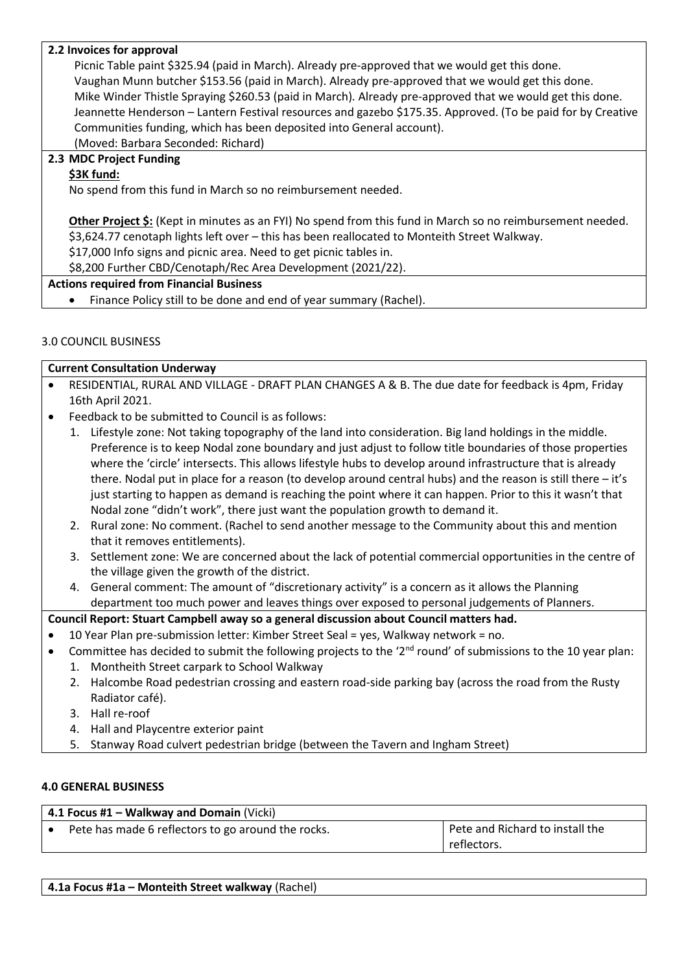#### **2.2 Invoices for approval**

Picnic Table paint \$325.94 (paid in March). Already pre-approved that we would get this done. Vaughan Munn butcher \$153.56 (paid in March). Already pre-approved that we would get this done. Mike Winder Thistle Spraying \$260.53 (paid in March). Already pre-approved that we would get this done. Jeannette Henderson – Lantern Festival resources and gazebo \$175.35. Approved. (To be paid for by Creative Communities funding, which has been deposited into General account). (Moved: Barbara Seconded: Richard)

# **2.3 MDC Project Funding**

## **\$3K fund:**

No spend from this fund in March so no reimbursement needed.

**Other Project \$:** (Kept in minutes as an FYI) No spend from this fund in March so no reimbursement needed. \$3,624.77 cenotaph lights left over – this has been reallocated to Monteith Street Walkway.

\$17,000 Info signs and picnic area. Need to get picnic tables in.

\$8,200 Further CBD/Cenotaph/Rec Area Development (2021/22).

#### **Actions required from Financial Business**

• Finance Policy still to be done and end of year summary (Rachel).

### 3.0 COUNCIL BUSINESS

|           | <b>Current Consultation Underway</b> |                                                                                                                                                                                                                                                                                                                                                                                                                                                                                                                                                                                                                                                |  |
|-----------|--------------------------------------|------------------------------------------------------------------------------------------------------------------------------------------------------------------------------------------------------------------------------------------------------------------------------------------------------------------------------------------------------------------------------------------------------------------------------------------------------------------------------------------------------------------------------------------------------------------------------------------------------------------------------------------------|--|
| $\bullet$ |                                      | RESIDENTIAL, RURAL AND VILLAGE - DRAFT PLAN CHANGES A & B. The due date for feedback is 4pm, Friday                                                                                                                                                                                                                                                                                                                                                                                                                                                                                                                                            |  |
|           |                                      | 16th April 2021.                                                                                                                                                                                                                                                                                                                                                                                                                                                                                                                                                                                                                               |  |
| $\bullet$ |                                      | Feedback to be submitted to Council is as follows:                                                                                                                                                                                                                                                                                                                                                                                                                                                                                                                                                                                             |  |
|           | 1.                                   | Lifestyle zone: Not taking topography of the land into consideration. Big land holdings in the middle.<br>Preference is to keep Nodal zone boundary and just adjust to follow title boundaries of those properties<br>where the 'circle' intersects. This allows lifestyle hubs to develop around infrastructure that is already<br>there. Nodal put in place for a reason (to develop around central hubs) and the reason is still there - it's<br>just starting to happen as demand is reaching the point where it can happen. Prior to this it wasn't that<br>Nodal zone "didn't work", there just want the population growth to demand it. |  |
|           |                                      | 2. Rural zone: No comment. (Rachel to send another message to the Community about this and mention<br>that it removes entitlements).                                                                                                                                                                                                                                                                                                                                                                                                                                                                                                           |  |
|           |                                      | 3. Settlement zone: We are concerned about the lack of potential commercial opportunities in the centre of<br>the village given the growth of the district.                                                                                                                                                                                                                                                                                                                                                                                                                                                                                    |  |

4. General comment: The amount of "discretionary activity" is a concern as it allows the Planning department too much power and leaves things over exposed to personal judgements of Planners.

## **Council Report: Stuart Campbell away so a general discussion about Council matters had.**

- 10 Year Plan pre-submission letter: Kimber Street Seal = yes, Walkway network = no.
- Committee has decided to submit the following projects to the ' $2<sup>nd</sup>$  round' of submissions to the 10 year plan:
	- 1. Montheith Street carpark to School Walkway
	- 2. Halcombe Road pedestrian crossing and eastern road-side parking bay (across the road from the Rusty Radiator café).
	- 3. Hall re-roof
	- 4. Hall and Playcentre exterior paint
	- 5. Stanway Road culvert pedestrian bridge (between the Tavern and Ingham Street)

#### **4.0 GENERAL BUSINESS**

| $\vert$ 4.1 Focus #1 – Walkway and Domain (Vicki)  |                                 |  |
|----------------------------------------------------|---------------------------------|--|
| Pete has made 6 reflectors to go around the rocks. | Pete and Richard to install the |  |
|                                                    | reflectors.                     |  |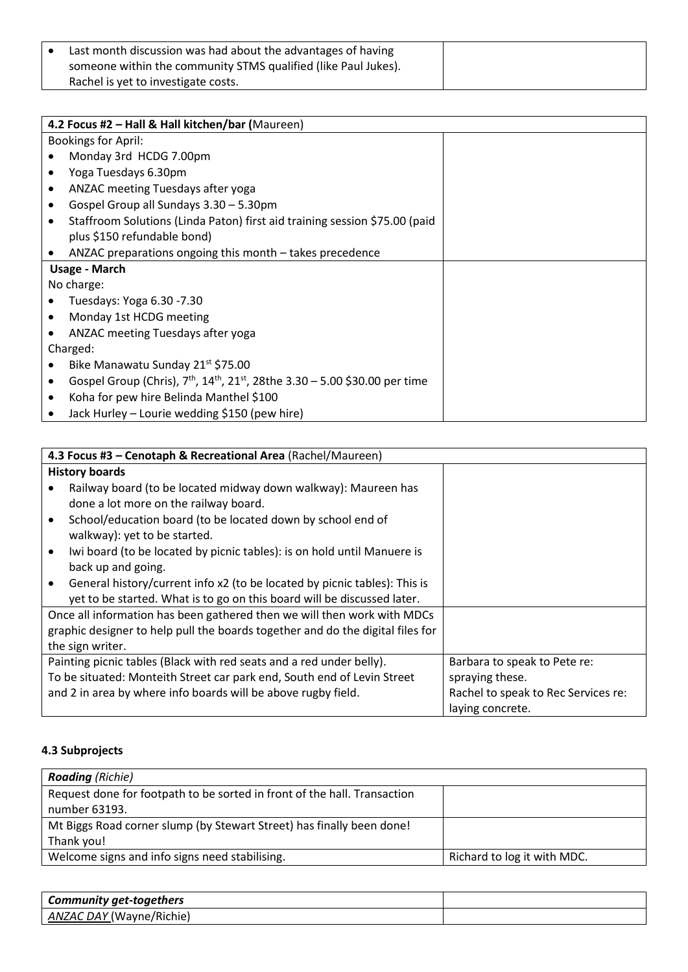| Last month discussion was had about the advantages of having   |
|----------------------------------------------------------------|
| someone within the community STMS qualified (like Paul Jukes). |
| Rachel is yet to investigate costs.                            |

|                            | 4.2 Focus #2 - Hall & Hall kitchen/bar (Maureen)                                   |  |  |
|----------------------------|------------------------------------------------------------------------------------|--|--|
| <b>Bookings for April:</b> |                                                                                    |  |  |
|                            | Monday 3rd HCDG 7.00pm                                                             |  |  |
|                            | Yoga Tuesdays 6.30pm                                                               |  |  |
| ٠                          | ANZAC meeting Tuesdays after yoga                                                  |  |  |
|                            | Gospel Group all Sundays 3.30 - 5.30pm                                             |  |  |
|                            | Staffroom Solutions (Linda Paton) first aid training session \$75.00 (paid         |  |  |
|                            | plus \$150 refundable bond)                                                        |  |  |
|                            | ANZAC preparations ongoing this month - takes precedence                           |  |  |
|                            | Usage - March                                                                      |  |  |
|                            | No charge:                                                                         |  |  |
|                            | Tuesdays: Yoga 6.30 -7.30                                                          |  |  |
|                            | Monday 1st HCDG meeting                                                            |  |  |
|                            | ANZAC meeting Tuesdays after yoga                                                  |  |  |
|                            | Charged:                                                                           |  |  |
|                            | Bike Manawatu Sunday 21st \$75.00                                                  |  |  |
|                            | Gospel Group (Chris), $7th$ , $14th$ , $21st$ , 28the 3.30 – 5.00 \$30.00 per time |  |  |
|                            | Koha for pew hire Belinda Manthel \$100                                            |  |  |
|                            | Jack Hurley – Lourie wedding \$150 (pew hire)                                      |  |  |

|           | 4.3 Focus #3 - Cenotaph & Recreational Area (Rachel/Maureen)                                            |                                     |  |
|-----------|---------------------------------------------------------------------------------------------------------|-------------------------------------|--|
|           | <b>History boards</b>                                                                                   |                                     |  |
|           | Railway board (to be located midway down walkway): Maureen has<br>done a lot more on the railway board. |                                     |  |
|           | School/education board (to be located down by school end of<br>walkway): yet to be started.             |                                     |  |
| $\bullet$ | Iwi board (to be located by picnic tables): is on hold until Manuere is                                 |                                     |  |
|           | back up and going.                                                                                      |                                     |  |
|           | General history/current info x2 (to be located by picnic tables): This is                               |                                     |  |
|           | yet to be started. What is to go on this board will be discussed later.                                 |                                     |  |
|           | Once all information has been gathered then we will then work with MDCs                                 |                                     |  |
|           | graphic designer to help pull the boards together and do the digital files for                          |                                     |  |
|           | the sign writer.                                                                                        |                                     |  |
|           | Painting picnic tables (Black with red seats and a red under belly).                                    | Barbara to speak to Pete re:        |  |
|           | To be situated: Monteith Street car park end, South end of Levin Street                                 | spraying these.                     |  |
|           | and 2 in area by where info boards will be above rugby field.                                           | Rachel to speak to Rec Services re: |  |
|           |                                                                                                         | laying concrete.                    |  |

# **4.3 Subprojects**

| <b>Roading</b> (Richie)                                                  |                             |
|--------------------------------------------------------------------------|-----------------------------|
| Request done for footpath to be sorted in front of the hall. Transaction |                             |
| number 63193.                                                            |                             |
| Mt Biggs Road corner slump (by Stewart Street) has finally been done!    |                             |
| Thank you!                                                               |                             |
| Welcome signs and info signs need stabilising.                           | Richard to log it with MDC. |

| Community get-togethers         |  |
|---------------------------------|--|
| <b>ANZAC DAY</b> (Wayne/Richie) |  |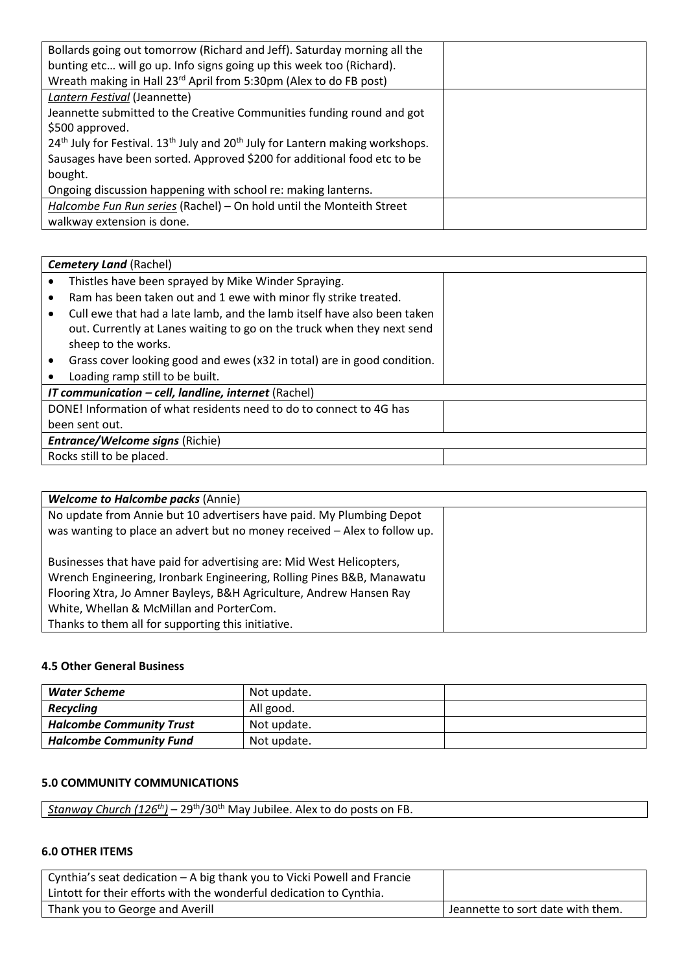| Bollards going out tomorrow (Richard and Jeff). Saturday morning all the                                          |  |
|-------------------------------------------------------------------------------------------------------------------|--|
| bunting etc will go up. Info signs going up this week too (Richard).                                              |  |
| Wreath making in Hall 23 <sup>rd</sup> April from 5:30pm (Alex to do FB post)                                     |  |
| Lantern Festival (Jeannette)                                                                                      |  |
| Jeannette submitted to the Creative Communities funding round and got                                             |  |
| \$500 approved.                                                                                                   |  |
| 24 <sup>th</sup> July for Festival. 13 <sup>th</sup> July and 20 <sup>th</sup> July for Lantern making workshops. |  |
| Sausages have been sorted. Approved \$200 for additional food etc to be                                           |  |
| bought.                                                                                                           |  |
| Ongoing discussion happening with school re: making lanterns.                                                     |  |
| Halcombe Fun Run series (Rachel) - On hold until the Monteith Street                                              |  |
| walkway extension is done.                                                                                        |  |

| Thistles have been sprayed by Mike Winder Spraying.                          |  |  |
|------------------------------------------------------------------------------|--|--|
|                                                                              |  |  |
| Ram has been taken out and 1 ewe with minor fly strike treated.              |  |  |
| Cull ewe that had a late lamb, and the lamb itself have also been taken<br>٠ |  |  |
| out. Currently at Lanes waiting to go on the truck when they next send       |  |  |
| sheep to the works.                                                          |  |  |
| Grass cover looking good and ewes (x32 in total) are in good condition.      |  |  |
| Loading ramp still to be built.                                              |  |  |
| <b>IT communication - cell, landline, internet</b> (Rachel)                  |  |  |
| DONE! Information of what residents need to do to connect to 4G has          |  |  |
| been sent out.                                                               |  |  |
| <b>Entrance/Welcome signs (Richie)</b>                                       |  |  |
| Rocks still to be placed.                                                    |  |  |

| <b>Welcome to Halcombe packs (Annie)</b>                                  |  |
|---------------------------------------------------------------------------|--|
| No update from Annie but 10 advertisers have paid. My Plumbing Depot      |  |
| was wanting to place an advert but no money received - Alex to follow up. |  |
| Businesses that have paid for advertising are: Mid West Helicopters,      |  |
| Wrench Engineering, Ironbark Engineering, Rolling Pines B&B, Manawatu     |  |
| Flooring Xtra, Jo Amner Bayleys, B&H Agriculture, Andrew Hansen Ray       |  |
| White, Whellan & McMillan and PorterCom.                                  |  |
| Thanks to them all for supporting this initiative.                        |  |

#### **4.5 Other General Business**

| Water Scheme                    | Not update. |  |
|---------------------------------|-------------|--|
| <b>Recycling</b>                | All good.   |  |
| <b>Halcombe Community Trust</b> | Not update. |  |
| <b>Halcombe Community Fund</b>  | Not update. |  |

### **5.0 COMMUNITY COMMUNICATIONS**

|--|

## **6.0 OTHER ITEMS**

| Cynthia's seat dedication – A big thank you to Vicki Powell and Francie |                                   |
|-------------------------------------------------------------------------|-----------------------------------|
| Lintott for their efforts with the wonderful dedication to Cynthia.     |                                   |
| Thank you to George and Averill                                         | Jeannette to sort date with them. |